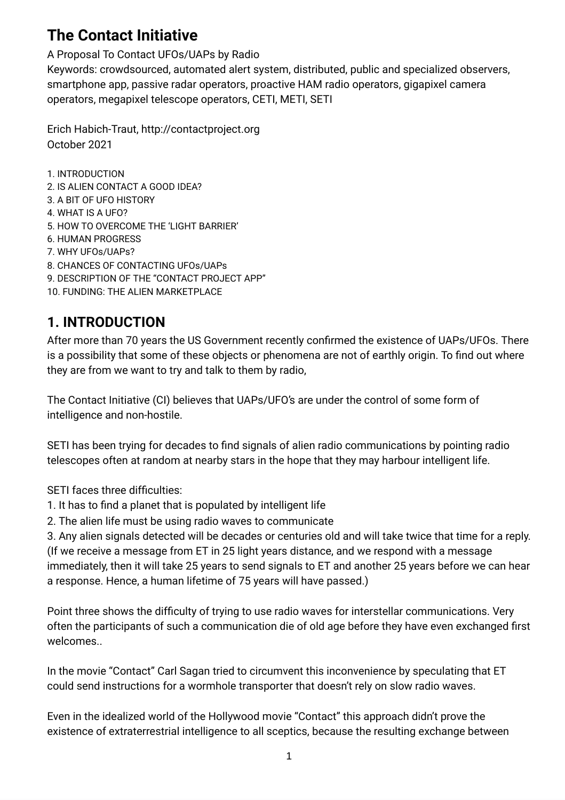# **The Contact Initiative**

A Proposal To Contact UFOs/UAPs by Radio

Keywords: crowdsourced, automated alert system, distributed, public and specialized observers, smartphone app, passive radar operators, proactive HAM radio operators, gigapixel camera operators, megapixel telescope operators, CETI, METI, SETI

Erich Habich-Traut, http://contactproject.org October 2021

1. INTRODUCTION 2. IS ALIEN CONTACT A GOOD IDEA? 3. A BIT OF UFO HISTORY 4. WHAT IS A UFO? 5. HOW TO OVERCOME THE 'LIGHT BARRIER' 6. HUMAN PROGRESS 7. WHY UFOs/UAPs? 8. CHANCES OF CONTACTING UFOs/UAPs 9. DESCRIPTION OF THE "CONTACT PROJECT APP" 10. FUNDING: THE ALIEN MARKETPLACE

# **1. INTRODUCTION**

After more than 70 years the US Government recently confirmed the existence of UAPs/UFOs. There is a possibility that some of these objects or phenomena are not of earthly origin. To find out where they are from we want to try and talk to them by radio,

The Contact Initiative (CI) believes that UAPs/UFO's are under the control of some form of intelligence and non-hostile.

SETI has been trying for decades to find signals of alien radio communications by pointing radio telescopes often at random at nearby stars in the hope that they may harbour intelligent life.

SETI faces three difficulties:

- 1. It has to find a planet that is populated by intelligent life
- 2. The alien life must be using radio waves to communicate

3. Any alien signals detected will be decades or centuries old and will take twice that time for a reply. (If we receive a message from ET in 25 light years distance, and we respond with a message immediately, then it will take 25 years to send signals to ET and another 25 years before we can hear a response. Hence, a human lifetime of 75 years will have passed.)

Point three shows the difficulty of trying to use radio waves for interstellar communications. Very often the participants of such a communication die of old age before they have even exchanged first welcomes..

In the movie "Contact" Carl Sagan tried to circumvent this inconvenience by speculating that ET could send instructions for a wormhole transporter that doesn't rely on slow radio waves.

Even in the idealized world of the Hollywood movie "Contact" this approach didn't prove the existence of extraterrestrial intelligence to all sceptics, because the resulting exchange between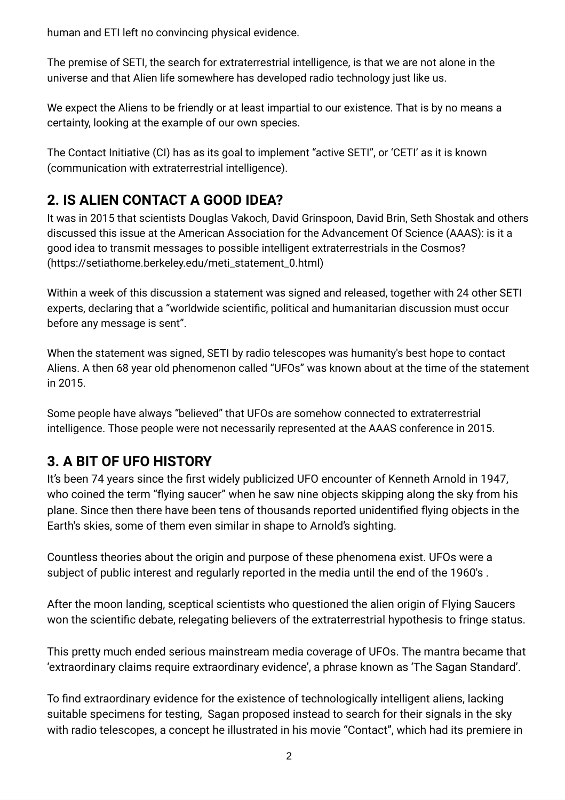human and ETI left no convincing physical evidence.

The premise of SETI, the search for extraterrestrial intelligence, is that we are not alone in the universe and that Alien life somewhere has developed radio technology just like us.

We expect the Aliens to be friendly or at least impartial to our existence. That is by no means a certainty, looking at the example of our own species.

The Contact Initiative (CI) has as its goal to implement "active SETI", or 'CETI' as it is known (communication with extraterrestrial intelligence).

# **2. IS ALIEN CONTACT A GOOD IDEA?**

It was in 2015 that scientists Douglas Vakoch, David Grinspoon, David Brin, Seth Shostak and others discussed this issue at the American Association for the Advancement Of Science (AAAS): is it a good idea to transmit messages to possible intelligent extraterrestrials in the Cosmos? (https://setiathome.berkeley.edu/meti\_statement\_0.html)

Within a week of this discussion a statement was signed and released, together with 24 other SETI experts, declaring that a "worldwide scientific, political and humanitarian discussion must occur before any message is sent".

When the statement was signed, SETI by radio telescopes was humanity's best hope to contact Aliens. A then 68 year old phenomenon called "UFOs" was known about at the time of the statement in 2015.

Some people have always "believed" that UFOs are somehow connected to extraterrestrial intelligence. Those people were not necessarily represented at the AAAS conference in 2015.

# **3. A BIT OF UFO HISTORY**

It's been 74 years since the first widely publicized UFO encounter of Kenneth Arnold in 1947, who coined the term "flying saucer" when he saw nine objects skipping along the sky from his plane. Since then there have been tens of thousands reported unidentified flying objects in the Earth's skies, some of them even similar in shape to Arnold's sighting.

Countless theories about the origin and purpose of these phenomena exist. UFOs were a subject of public interest and regularly reported in the media until the end of the 1960's .

After the moon landing, sceptical scientists who questioned the alien origin of Flying Saucers won the scientific debate, relegating believers of the extraterrestrial hypothesis to fringe status.

This pretty much ended serious mainstream media coverage of UFOs. The mantra became that 'extraordinary claims require extraordinary evidence', a phrase known as 'The Sagan Standard'.

To find extraordinary evidence for the existence of technologically intelligent aliens, lacking suitable specimens for testing, Sagan proposed instead to search for their signals in the sky with radio telescopes, a concept he illustrated in his movie "Contact", which had its premiere in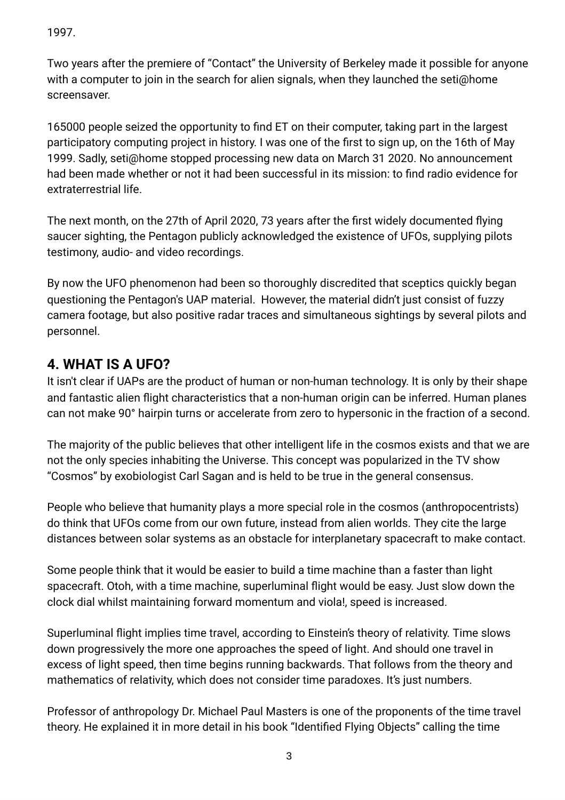1997.

Two years after the premiere of "Contact" the University of Berkeley made it possible for anyone with a computer to join in the search for alien signals, when they launched the seti@home screensaver.

165000 people seized the opportunity to find ET on their computer, taking part in the largest participatory computing project in history. I was one of the first to sign up, on the 16th of May 1999. Sadly, seti@home stopped processing new data on March 31 2020. No announcement had been made whether or not it had been successful in its mission: to find radio evidence for extraterrestrial life.

The next month, on the 27th of April 2020, 73 years after the first widely documented flying saucer sighting, the Pentagon publicly acknowledged the existence of UFOs, supplying pilots testimony, audio- and video recordings.

By now the UFO phenomenon had been so thoroughly discredited that sceptics quickly began questioning the Pentagon's UAP material. However, the material didn't just consist of fuzzy camera footage, but also positive radar traces and simultaneous sightings by several pilots and personnel.

## **4. WHAT IS A UFO?**

It isn't clear if UAPs are the product of human or non-human technology. It is only by their shape and fantastic alien flight characteristics that a non-human origin can be inferred. Human planes can not make 90° hairpin turns or accelerate from zero to hypersonic in the fraction of a second.

The majority of the public believes that other intelligent life in the cosmos exists and that we are not the only species inhabiting the Universe. This concept was popularized in the TV show "Cosmos" by exobiologist Carl Sagan and is held to be true in the general consensus.

People who believe that humanity plays a more special role in the cosmos (anthropocentrists) do think that UFOs come from our own future, instead from alien worlds. They cite the large distances between solar systems as an obstacle for interplanetary spacecraft to make contact.

Some people think that it would be easier to build a time machine than a faster than light spacecraft. Otoh, with a time machine, superluminal flight would be easy. Just slow down the clock dial whilst maintaining forward momentum and viola!, speed is increased.

Superluminal flight implies time travel, according to Einstein's theory of relativity. Time slows down progressively the more one approaches the speed of light. And should one travel in excess of light speed, then time begins running backwards. That follows from the theory and mathematics of relativity, which does not consider time paradoxes. It's just numbers.

Professor of anthropology Dr. Michael Paul Masters is one of the proponents of the time travel theory. He explained it in more detail in his book "Identified Flying Objects" calling the time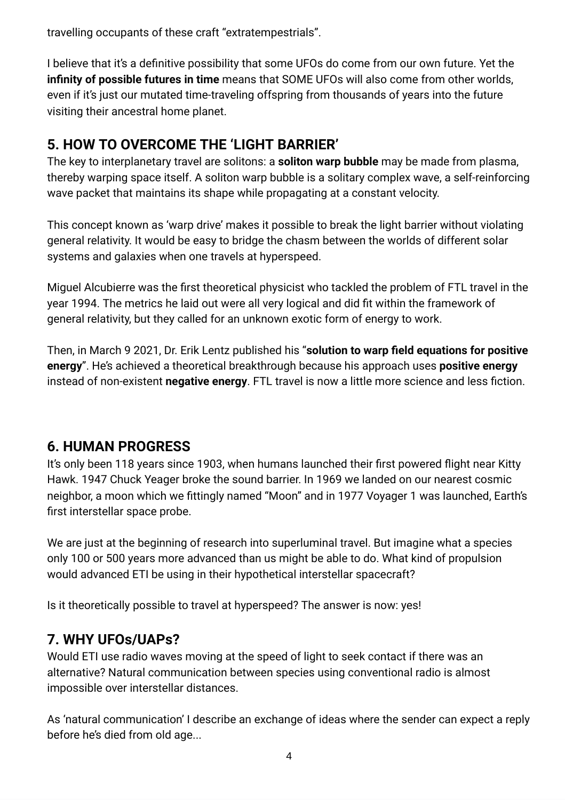travelling occupants of these craft "extratempestrials".

I believe that it's a definitive possibility that some UFOs do come from our own future. Yet the **infinity of possible futures in time** means that SOME UFOs will also come from other worlds, even if it's just our mutated time-traveling offspring from thousands of years into the future visiting their ancestral home planet.

# **5. HOW TO OVERCOME THE 'LIGHT BARRIER'**

The key to interplanetary travel are solitons: a **soliton warp bubble** may be made from plasma, thereby warping space itself. A soliton warp bubble is a solitary complex wave, a self-reinforcing wave packet that maintains its shape while propagating at a constant velocity.

This concept known as 'warp drive' makes it possible to break the light barrier without violating general relativity. It would be easy to bridge the chasm between the worlds of different solar systems and galaxies when one travels at hyperspeed.

Miguel Alcubierre was the first theoretical physicist who tackled the problem of FTL travel in the year 1994. The metrics he laid out were all very logical and did fit within the framework of general relativity, but they called for an unknown exotic form of energy to work.

Then, in March 9 2021, Dr. Erik Lentz published his "**solution to warp field equations for positive energy**". He's achieved a theoretical breakthrough because his approach uses **positive energy** instead of non-existent **negative energy**. FTL travel is now a little more science and less fiction.

# **6. HUMAN PROGRESS**

It's only been 118 years since 1903, when humans launched their first powered flight near Kitty Hawk. 1947 Chuck Yeager broke the sound barrier. In 1969 we landed on our nearest cosmic neighbor, a moon which we fittingly named "Moon" and in 1977 Voyager 1 was launched, Earth's first interstellar space probe.

We are just at the beginning of research into superluminal travel. But imagine what a species only 100 or 500 years more advanced than us might be able to do. What kind of propulsion would advanced ETI be using in their hypothetical interstellar spacecraft?

Is it theoretically possible to travel at hyperspeed? The answer is now: yes!

# **7. WHY UFOs/UAPs?**

Would ETI use radio waves moving at the speed of light to seek contact if there was an alternative? Natural communication between species using conventional radio is almost impossible over interstellar distances.

As 'natural communication' I describe an exchange of ideas where the sender can expect a reply before he's died from old age...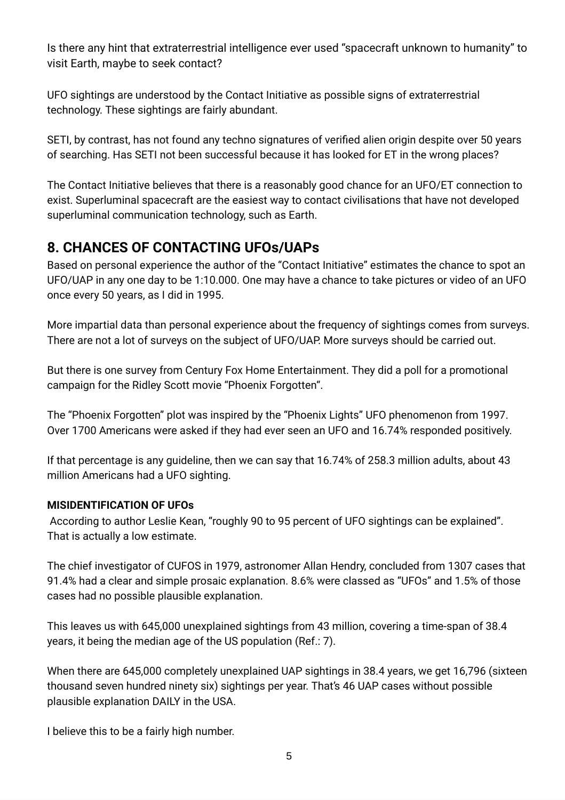Is there any hint that extraterrestrial intelligence ever used "spacecraft unknown to humanity" to visit Earth, maybe to seek contact?

UFO sightings are understood by the Contact Initiative as possible signs of extraterrestrial technology. These sightings are fairly abundant.

SETI, by contrast, has not found any techno signatures of verified alien origin despite over 50 years of searching. Has SETI not been successful because it has looked for ET in the wrong places?

The Contact Initiative believes that there is a reasonably good chance for an UFO/ET connection to exist. Superluminal spacecraft are the easiest way to contact civilisations that have not developed superluminal communication technology, such as Earth.

## **8. CHANCES OF CONTACTING UFOs/UAPs**

Based on personal experience the author of the "Contact Initiative" estimates the chance to spot an UFO/UAP in any one day to be 1:10.000. One may have a chance to take pictures or video of an UFO once every 50 years, as I did in 1995.

More impartial data than personal experience about the frequency of sightings comes from surveys. There are not a lot of surveys on the subject of UFO/UAP. More surveys should be carried out.

But there is one survey from Century Fox Home Entertainment. They did a poll for a promotional campaign for the Ridley Scott movie "Phoenix Forgotten".

The "Phoenix Forgotten" plot was inspired by the "Phoenix Lights" UFO phenomenon from 1997. Over 1700 Americans were asked if they had ever seen an UFO and 16.74% responded positively.

If that percentage is any guideline, then we can say that 16.74% of 258.3 million adults, about 43 million Americans had a UFO sighting.

### **MISIDENTIFICATION OF UFOs**

According to author Leslie Kean, "roughly 90 to 95 percent of UFO sightings can be explained". That is actually a low estimate.

The chief investigator of CUFOS in 1979, astronomer Allan Hendry, concluded from 1307 cases that 91.4% had a clear and simple prosaic explanation. 8.6% were classed as "UFOs" and 1.5% of those cases had no possible plausible explanation.

This leaves us with 645,000 unexplained sightings from 43 million, covering a time-span of 38.4 years, it being the median age of the US population (Ref.: 7).

When there are 645,000 completely unexplained UAP sightings in 38.4 years, we get 16,796 (sixteen thousand seven hundred ninety six) sightings per year. That's 46 UAP cases without possible plausible explanation DAILY in the USA.

I believe this to be a fairly high number.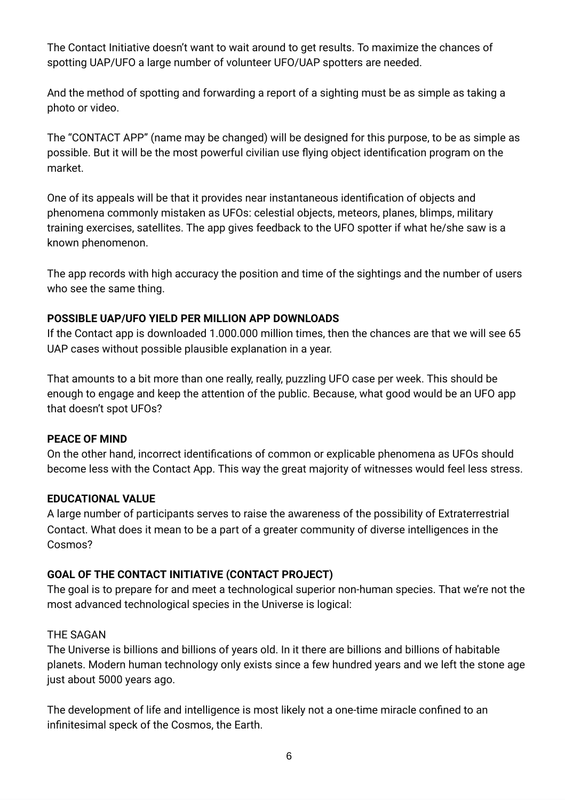The Contact Initiative doesn't want to wait around to get results. To maximize the chances of spotting UAP/UFO a large number of volunteer UFO/UAP spotters are needed.

And the method of spotting and forwarding a report of a sighting must be as simple as taking a photo or video.

The "CONTACT APP" (name may be changed) will be designed for this purpose, to be as simple as possible. But it will be the most powerful civilian use flying object identification program on the market.

One of its appeals will be that it provides near instantaneous identification of objects and phenomena commonly mistaken as UFOs: celestial objects, meteors, planes, blimps, military training exercises, satellites. The app gives feedback to the UFO spotter if what he/she saw is a known phenomenon.

The app records with high accuracy the position and time of the sightings and the number of users who see the same thing.

#### **POSSIBLE UAP/UFO YIELD PER MILLION APP DOWNLOADS**

If the Contact app is downloaded 1.000.000 million times, then the chances are that we will see 65 UAP cases without possible plausible explanation in a year.

That amounts to a bit more than one really, really, puzzling UFO case per week. This should be enough to engage and keep the attention of the public. Because, what good would be an UFO app that doesn't spot UFOs?

#### **PEACE OF MIND**

On the other hand, incorrect identifications of common or explicable phenomena as UFOs should become less with the Contact App. This way the great majority of witnesses would feel less stress.

#### **EDUCATIONAL VALUE**

A large number of participants serves to raise the awareness of the possibility of Extraterrestrial Contact. What does it mean to be a part of a greater community of diverse intelligences in the Cosmos?

#### **GOAL OF THE CONTACT INITIATIVE (CONTACT PROJECT)**

The goal is to prepare for and meet a technological superior non-human species. That we're not the most advanced technological species in the Universe is logical:

#### THE SAGAN

The Universe is billions and billions of years old. In it there are billions and billions of habitable planets. Modern human technology only exists since a few hundred years and we left the stone age just about 5000 years ago.

The development of life and intelligence is most likely not a one-time miracle confined to an infinitesimal speck of the Cosmos, the Earth.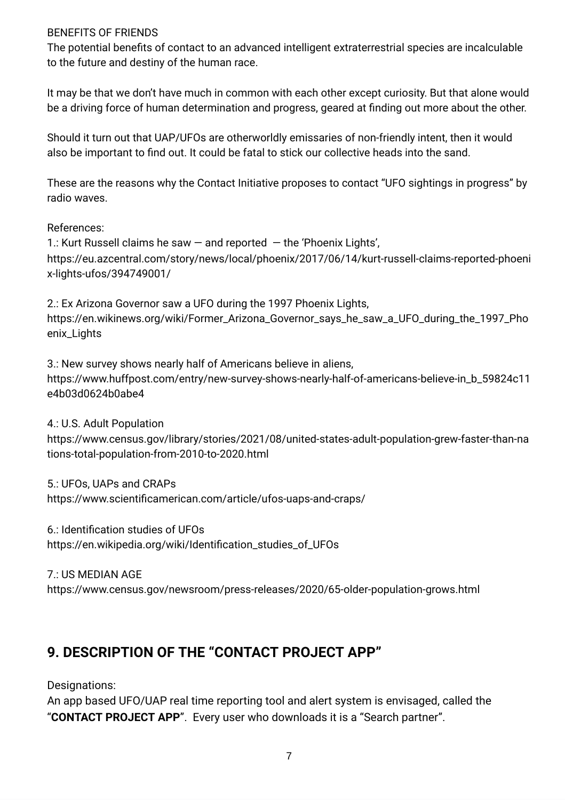#### BENEFITS OF FRIENDS

The potential benefits of contact to an advanced intelligent extraterrestrial species are incalculable to the future and destiny of the human race.

It may be that we don't have much in common with each other except curiosity. But that alone would be a driving force of human determination and progress, geared at finding out more about the other.

Should it turn out that UAP/UFOs are otherworldly emissaries of non-friendly intent, then it would also be important to find out. It could be fatal to stick our collective heads into the sand.

These are the reasons why the Contact Initiative proposes to contact "UFO sightings in progress" by radio waves.

#### References:

1.: Kurt Russell claims he saw  $-$  and reported  $-$  the 'Phoenix Lights', https://eu.azcentral.com/story/news/local/phoenix/2017/06/14/kurt-russell-claims-reported-phoeni x-lights-ufos/394749001/

2.: Ex Arizona Governor saw a UFO during the 1997 Phoenix Lights, https://en.wikinews.org/wiki/Former\_Arizona\_Governor\_says\_he\_saw\_a\_UFO\_during\_the\_1997\_Pho enix\_Lights

3.: New survey shows nearly half of Americans believe in aliens, https://www.huffpost.com/entry/new-survey-shows-nearly-half-of-americans-believe-in\_b\_59824c11 e4b03d0624b0abe4

4.: U.S. Adult Population

https://www.census.gov/library/stories/2021/08/united-states-adult-population-grew-faster-than-na tions-total-population-from-2010-to-2020.html

5.: UFOs, UAPs and CRAPs

https://www.scientificamerican.com/article/ufos-uaps-and-craps/

6.: Identification studies of UFOs https://en.wikipedia.org/wiki/Identification\_studies\_of\_UFOs

7.: US MEDIAN AGE

https://www.census.gov/newsroom/press-releases/2020/65-older-population-grows.html

### **9. DESCRIPTION OF THE "CONTACT PROJECT APP"**

Designations:

An app based UFO/UAP real time reporting tool and alert system is envisaged, called the "**CONTACT PROJECT APP**". Every user who downloads it is a "Search partner".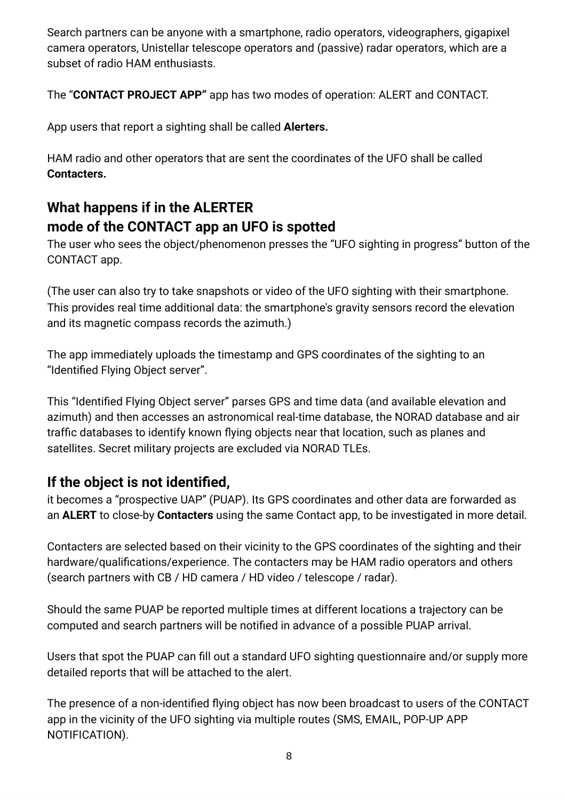Search partners can be anyone with a smartphone, radio operators, videographers, gigapixel camera operators, Unistellar telescope operators and (passive) radar operators, which are a subset of radio HAM enthusiasts.

The "**CONTACT PROJECT APP"** app has two modes of operation: ALERT and CONTACT.

App users that report a sighting shall be called **Alerters.**

HAM radio and other operators that are sent the coordinates of the UFO shall be called **Contacters.**

# **What happens if in the ALERTER mode of the CONTACT app an UFO is spotted**

The user who sees the object/phenomenon presses the "UFO sighting in progress" button of the CONTACT app.

(The user can also try to take snapshots or video of the UFO sighting with their smartphone. This provides real time additional data: the smartphone's gravity sensors record the elevation and its magnetic compass records the azimuth.)

The app immediately uploads the timestamp and GPS coordinates of the sighting to an "Identified Flying Object server".

This "Identified Flying Object server" parses GPS and time data (and available elevation and azimuth) and then accesses an astronomical real-time database, the NORAD database and air traffic databases to identify known flying objects near that location, such as planes and satellites. Secret military projects are excluded via NORAD TLEs.

### **If the object is not identified,**

it becomes a "prospective UAP" (PUAP). Its GPS coordinates and other data are forwarded as an **ALERT** to close-by **Contacters** using the same Contact app, to be investigated in more detail.

Contacters are selected based on their vicinity to the GPS coordinates of the sighting and their hardware/qualifications/experience. The contacters may be HAM radio operators and others (search partners with CB / HD camera / HD video / telescope / radar).

Should the same PUAP be reported multiple times at different locations a trajectory can be computed and search partners will be notified in advance of a possible PUAP arrival.

Users that spot the PUAP can fill out a standard UFO sighting questionnaire and/or supply more detailed reports that will be attached to the alert.

The presence of a non-identified flying object has now been broadcast to users of the CONTACT app in the vicinity of the UFO sighting via multiple routes (SMS, EMAIL, POP-UP APP NOTIFICATION).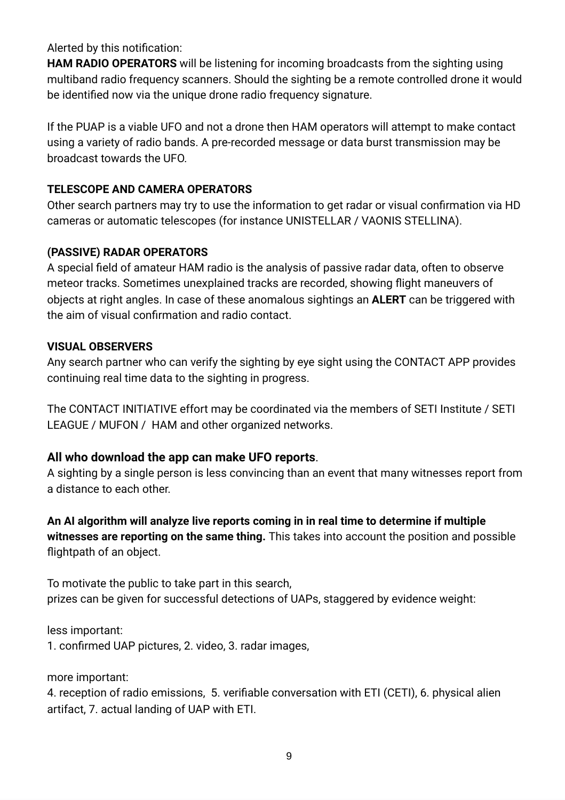Alerted by this notification:

**HAM RADIO OPERATORS** will be listening for incoming broadcasts from the sighting using multiband radio frequency scanners. Should the sighting be a remote controlled drone it would be identified now via the unique drone radio frequency signature.

If the PUAP is a viable UFO and not a drone then HAM operators will attempt to make contact using a variety of radio bands. A pre-recorded message or data burst transmission may be broadcast towards the UFO.

### **TELESCOPE AND CAMERA OPERATORS**

Other search partners may try to use the information to get radar or visual confirmation via HD cameras or automatic telescopes (for instance UNISTELLAR / VAONIS STELLINA).

### **(PASSIVE) RADAR OPERATORS**

A special field of amateur HAM radio is the analysis of passive radar data, often to observe meteor tracks. Sometimes unexplained tracks are recorded, showing flight maneuvers of objects at right angles. In case of these anomalous sightings an **ALERT** can be triggered with the aim of visual confirmation and radio contact.

### **VISUAL OBSERVERS**

Any search partner who can verify the sighting by eye sight using the CONTACT APP provides continuing real time data to the sighting in progress.

The CONTACT INITIATIVE effort may be coordinated via the members of SETI Institute / SETI LEAGUE / MUFON / HAM and other organized networks.

### **All who download the app can make UFO reports**.

A sighting by a single person is less convincing than an event that many witnesses report from a distance to each other.

**An AI algorithm will analyze live reports coming in in real time to determine if multiple witnesses are reporting on the same thing.** This takes into account the position and possible flightpath of an object.

To motivate the public to take part in this search, prizes can be given for successful detections of UAPs, staggered by evidence weight:

less important: 1. confirmed UAP pictures, 2. video, 3. radar images,

more important:

4. reception of radio emissions, 5. verifiable conversation with ETI (CETI), 6. physical alien artifact, 7. actual landing of UAP with ETI.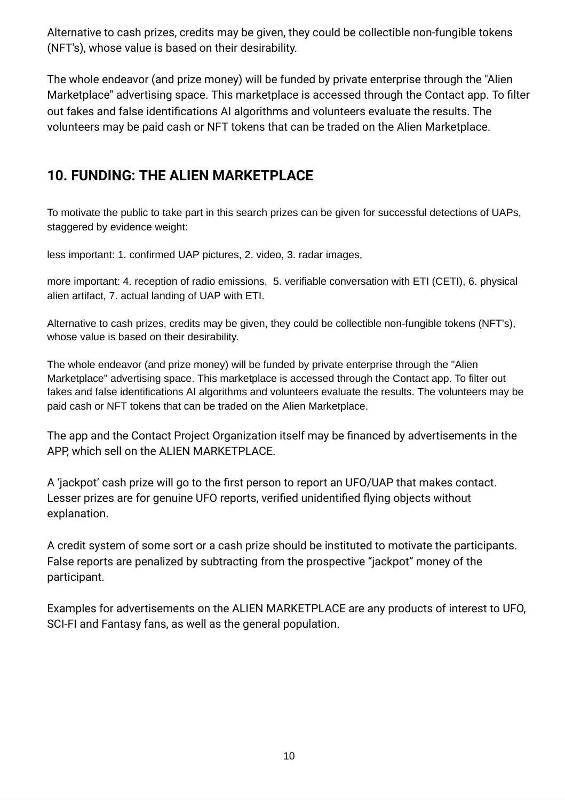Alternative to cash prizes, credits may be given, they could be collectible non-fungible tokens (NFT's), whose value is based on their desirability.

The whole endeavor (and prize money) will be funded by private enterprise through the "Alien Marketplace" advertising space. This marketplace is accessed through the Contact app. To filter out fakes and false identifications AI algorithms and volunteers evaluate the results. The volunteers may be paid cash or NFT tokens that can be traded on the Alien Marketplace.

## **10. FUNDING: THE ALIEN MARKETPLACE**

To motivate the public to take part in this search prizes can be given for successful detections of UAPs, staggered by evidence weight:

less important: 1. confirmed UAP pictures, 2. video, 3. radar images,

more important: 4. reception of radio emissions, 5. verifiable conversation with ETI (CETI), 6. physical alien artifact, 7. actual landing of UAP with ETI.

Alternative to cash prizes, credits may be given, they could be collectible non-fungible tokens (NFT's), whose value is based on their desirability.

The whole endeavor (and prize money) will be funded by private enterprise through the "Alien Marketplace" advertising space. This marketplace is accessed through the Contact app. To filter out fakes and false identifications AI algorithms and volunteers evaluate the results. The volunteers may be paid cash or NFT tokens that can be traded on the Alien Marketplace.

The app and the Contact Project Organization itself may be financed by advertisements in the APP, which sell on the ALIEN MARKETPLACE.

A 'jackpot' cash prize will go to the first person to report an UFO/UAP that makes contact. Lesser prizes are for genuine UFO reports, verified unidentified flying objects without explanation.

A credit system of some sort or a cash prize should be instituted to motivate the participants. False reports are penalized by subtracting from the prospective "jackpot" money of the participant.

Examples for advertisements on the ALIEN MARKETPLACE are any products of interest to UFO, SCI-FI and Fantasy fans, as well as the general population.